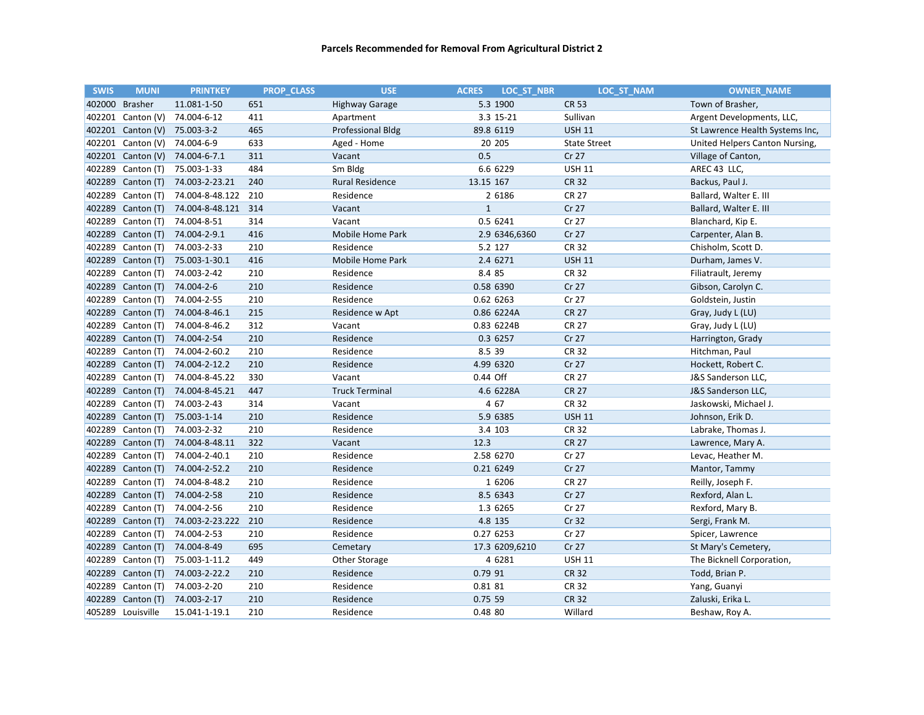| <b>SWIS</b> | <b>MUNI</b>       | <b>PRINTKEY</b> | <b>PROP CLASS</b> | <b>USE</b>             | <b>ACRES</b><br><b>LOC ST NBR</b> | <b>LOC ST NAM</b>   | <b>OWNER NAME</b>               |
|-------------|-------------------|-----------------|-------------------|------------------------|-----------------------------------|---------------------|---------------------------------|
| 402000      | <b>Brasher</b>    | 11.081-1-50     | 651               | <b>Highway Garage</b>  | 5.3 1900                          | <b>CR 53</b>        | Town of Brasher,                |
| 402201      | Canton (V)        | 74.004-6-12     | 411               | Apartment              | 3.3 15-21                         | Sullivan            | Argent Developments, LLC,       |
|             | 402201 Canton (V) | 75.003-3-2      | 465               | Professional Bldg      | 89.8 6119                         | <b>USH 11</b>       | St Lawrence Health Systems Inc, |
| 402201      | Canton (V)        | 74.004-6-9      | 633               | Aged - Home            | 20 205                            | <b>State Street</b> | United Helpers Canton Nursing,  |
|             | 402201 Canton (V) | 74.004-6-7.1    | 311               | Vacant                 | 0.5                               | Cr 27               | Village of Canton,              |
| 402289      | Canton (T)        | 75.003-1-33     | 484               | Sm Bldg                | 6.6 6229                          | <b>USH 11</b>       | AREC 43 LLC,                    |
| 402289      | Canton (T)        | 74.003-2-23.21  | 240               | <b>Rural Residence</b> | 13.15 167                         | <b>CR 32</b>        | Backus, Paul J.                 |
| 402289      | Canton (T)        | 74.004-8-48.122 | 210               | Residence              | 2 6186                            | <b>CR 27</b>        | Ballard, Walter E. III          |
| 402289      | Canton (T)        | 74.004-8-48.121 | 314               | Vacant                 | $\mathbf{1}$                      | Cr 27               | Ballard, Walter E. III          |
| 402289      | Canton (T)        | 74.004-8-51     | 314               | Vacant                 | 0.5 6241                          | Cr 27               | Blanchard, Kip E.               |
| 402289      | Canton (T)        | 74.004-2-9.1    | 416               | Mobile Home Park       | 2.9 6346,6360                     | Cr 27               | Carpenter, Alan B.              |
| 402289      | Canton (T)        | 74.003-2-33     | 210               | Residence              | 5.2 127                           | <b>CR 32</b>        | Chisholm, Scott D.              |
| 402289      | Canton (T)        | 75.003-1-30.1   | 416               | Mobile Home Park       | 2.4 6271                          | <b>USH 11</b>       | Durham, James V.                |
| 402289      | Canton (T)        | 74.003-2-42     | 210               | Residence              | 8.4 85                            | <b>CR 32</b>        | Filiatrault, Jeremy             |
| 402289      | Canton (T)        | 74.004-2-6      | 210               | Residence              | 0.58 6390                         | Cr 27               | Gibson, Carolyn C.              |
| 402289      | Canton (T)        | 74.004-2-55     | 210               | Residence              | 0.62 6263                         | Cr 27               | Goldstein, Justin               |
| 402289      | Canton (T)        | 74.004-8-46.1   | 215               | Residence w Apt        | 0.86 6224A                        | <b>CR 27</b>        | Gray, Judy L (LU)               |
| 402289      | Canton (T)        | 74.004-8-46.2   | 312               | Vacant                 | 0.83 6224B                        | <b>CR 27</b>        | Gray, Judy L (LU)               |
| 402289      | Canton (T)        | 74.004-2-54     | 210               | Residence              | 0.3 6257                          | Cr 27               | Harrington, Grady               |
| 402289      | Canton (T)        | 74.004-2-60.2   | 210               | Residence              | 8.5 39                            | <b>CR 32</b>        | Hitchman, Paul                  |
| 402289      | Canton (T)        | 74.004-2-12.2   | 210               | Residence              | 4.99 6320                         | Cr 27               | Hockett, Robert C.              |
| 402289      | Canton (T)        | 74.004-8-45.22  | 330               | Vacant                 | 0.44 Off                          | <b>CR 27</b>        | J&S Sanderson LLC,              |
| 402289      | Canton (T)        | 74.004-8-45.21  | 447               | <b>Truck Terminal</b>  | 4.6 6228A                         | <b>CR 27</b>        | J&S Sanderson LLC,              |
| 402289      | Canton (T)        | 74.003-2-43     | 314               | Vacant                 | 4 67                              | <b>CR 32</b>        | Jaskowski, Michael J.           |
| 402289      | Canton (T)        | 75.003-1-14     | 210               | Residence              | 5.9 6385                          | <b>USH 11</b>       | Johnson, Erik D.                |
| 402289      | Canton (T)        | 74.003-2-32     | 210               | Residence              | 3.4 103                           | <b>CR 32</b>        | Labrake, Thomas J.              |
| 402289      | Canton (T)        | 74.004-8-48.11  | 322               | Vacant                 | 12.3                              | <b>CR 27</b>        | Lawrence, Mary A.               |
| 402289      | Canton (T)        | 74.004-2-40.1   | 210               | Residence              | 2.58 6270                         | Cr 27               | Levac, Heather M.               |
| 402289      | Canton (T)        | 74.004-2-52.2   | 210               | Residence              | 0.21 6249                         | Cr 27               | Mantor, Tammy                   |
| 402289      | Canton (T)        | 74.004-8-48.2   | 210               | Residence              | 1 6206                            | <b>CR 27</b>        | Reilly, Joseph F.               |
| 402289      | Canton (T)        | 74.004-2-58     | 210               | Residence              | 8.5 6343                          | Cr 27               | Rexford, Alan L.                |
| 402289      | Canton (T)        | 74.004-2-56     | 210               | Residence              | 1.3 6265                          | Cr 27               | Rexford, Mary B.                |
| 402289      | Canton (T)        | 74.003-2-23.222 | 210               | Residence              | 4.8 135                           | Cr 32               | Sergi, Frank M.                 |
| 402289      | Canton (T)        | 74.004-2-53     | 210               | Residence              | 0.27 6253                         | Cr 27               | Spicer, Lawrence                |
| 402289      | Canton (T)        | 74.004-8-49     | 695               | Cemetary               | 17.3 6209,6210                    | Cr 27               | St Mary's Cemetery,             |
| 402289      | Canton (T)        | 75.003-1-11.2   | 449               | Other Storage          | 4 6281                            | <b>USH 11</b>       | The Bicknell Corporation,       |
| 402289      | Canton (T)        | 74.003-2-22.2   | 210               | Residence              | 0.79 91                           | <b>CR 32</b>        | Todd, Brian P.                  |
| 402289      | Canton (T)        | 74.003-2-20     | 210               | Residence              | 0.81 81                           | <b>CR 32</b>        | Yang, Guanyi                    |
| 402289      | Canton (T)        | 74.003-2-17     | 210               | Residence              | 0.75 59                           | <b>CR 32</b>        | Zaluski, Erika L.               |
|             | 405289 Louisville | 15.041-1-19.1   | 210               | Residence              | 0.48 80                           | Willard             | Beshaw, Roy A.                  |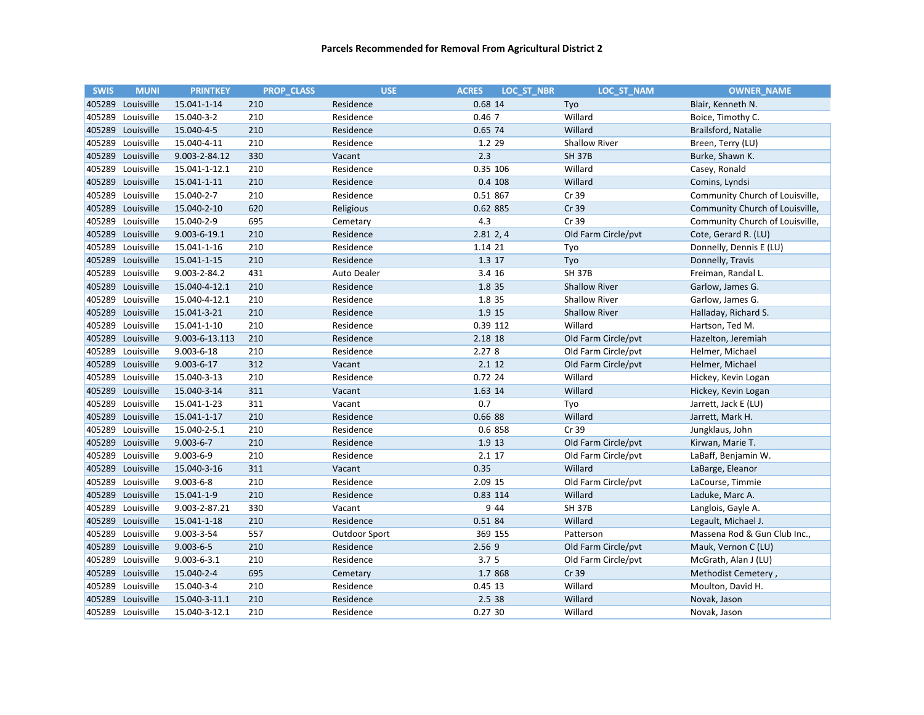| <b>SWIS</b> | <b>MUNI</b>       | <b>PRINTKEY</b>   | <b>PROP CLASS</b> | <b>USE</b>         | <b>LOC ST NBR</b><br><b>ACRES</b> | LOC ST NAM           | <b>OWNER NAME</b>               |
|-------------|-------------------|-------------------|-------------------|--------------------|-----------------------------------|----------------------|---------------------------------|
|             | 405289 Louisville | 15.041-1-14       | 210               | Residence          | 0.68 14                           | Tyo                  | Blair, Kenneth N.               |
| 405289      | Louisville        | 15.040-3-2        | 210               | Residence          | 0.467                             | Willard              | Boice, Timothy C.               |
|             | 405289 Louisville | 15.040-4-5        | 210               | Residence          | 0.65 74                           | Willard              | Brailsford, Natalie             |
| 405289      | Louisville        | 15.040-4-11       | 210               | Residence          | 1.2 29                            | <b>Shallow River</b> | Breen, Terry (LU)               |
|             | 405289 Louisville | 9.003-2-84.12     | 330               | Vacant             | 2.3                               | <b>SH 37B</b>        | Burke, Shawn K.                 |
| 405289      | Louisville        | 15.041-1-12.1     | 210               | Residence          | 0.35 106                          | Willard              | Casey, Ronald                   |
| 405289      | Louisville        | 15.041-1-11       | 210               | Residence          | 0.4 108                           | Willard              | Comins, Lyndsi                  |
|             | 405289 Louisville | 15.040-2-7        | 210               | Residence          | 0.51 867                          | Cr 39                | Community Church of Louisville, |
|             | 405289 Louisville | 15.040-2-10       | 620               | Religious          | 0.62 885                          | Cr 39                | Community Church of Louisville, |
|             | 405289 Louisville | 15.040-2-9        | 695               | Cemetary           | 4.3                               | Cr 39                | Community Church of Louisville, |
|             | 405289 Louisville | 9.003-6-19.1      | 210               | Residence          | $2.81$ 2, 4                       | Old Farm Circle/pvt  | Cote, Gerard R. (LU)            |
|             | 405289 Louisville | 15.041-1-16       | 210               | Residence          | 1.14 21                           | Tyo                  | Donnelly, Dennis E (LU)         |
| 405289      | Louisville        | 15.041-1-15       | 210               | Residence          | 1.3 17                            | Tyo                  | Donnelly, Travis                |
|             | 405289 Louisville | 9.003-2-84.2      | 431               | <b>Auto Dealer</b> | 3.4 16                            | <b>SH 37B</b>        | Freiman, Randal L.              |
|             | 405289 Louisville | 15.040-4-12.1     | 210               | Residence          | 1.8 35                            | <b>Shallow River</b> | Garlow, James G.                |
| 405289      | Louisville        | 15.040-4-12.1     | 210               | Residence          | 1.8 35                            | <b>Shallow River</b> | Garlow, James G.                |
|             | 405289 Louisville | 15.041-3-21       | 210               | Residence          | 1.9 15                            | <b>Shallow River</b> | Halladay, Richard S.            |
| 405289      | Louisville        | 15.041-1-10       | 210               | Residence          | 0.39 112                          | Willard              | Hartson, Ted M.                 |
| 405289      | Louisville        | 9.003-6-13.113    | 210               | Residence          | 2.18 18                           | Old Farm Circle/pvt  | Hazelton, Jeremiah              |
|             | 405289 Louisville | $9.003 - 6 - 18$  | 210               | Residence          | 2.278                             | Old Farm Circle/pvt  | Helmer, Michael                 |
|             | 405289 Louisville | $9.003 - 6 - 17$  | 312               | Vacant             | 2.1 12                            | Old Farm Circle/pvt  | Helmer, Michael                 |
|             | 405289 Louisville | 15.040-3-13       | 210               | Residence          | 0.72 24                           | Willard              | Hickey, Kevin Logan             |
|             | 405289 Louisville | 15.040-3-14       | 311               | Vacant             | 1.63 14                           | Willard              | Hickey, Kevin Logan             |
|             | 405289 Louisville | 15.041-1-23       | 311               | Vacant             | 0.7                               | Tyo                  | Jarrett, Jack E (LU)            |
| 405289      | Louisville        | 15.041-1-17       | 210               | Residence          | 0.66 88                           | Willard              | Jarrett, Mark H.                |
| 405289      | Louisville        | 15.040-2-5.1      | 210               | Residence          | 0.6 858                           | Cr 39                | Jungklaus, John                 |
|             | 405289 Louisville | $9.003 - 6 - 7$   | 210               | Residence          | 1.9 13                            | Old Farm Circle/pvt  | Kirwan, Marie T.                |
| 405289      | Louisville        | $9.003 - 6 - 9$   | 210               | Residence          | 2.1 17                            | Old Farm Circle/pvt  | LaBaff, Benjamin W.             |
|             | 405289 Louisville | 15.040-3-16       | 311               | Vacant             | 0.35                              | Willard              | LaBarge, Eleanor                |
|             | 405289 Louisville | $9.003 - 6 - 8$   | 210               | Residence          | 2.09 15                           | Old Farm Circle/pvt  | LaCourse, Timmie                |
|             | 405289 Louisville | 15.041-1-9        | 210               | Residence          | 0.83 114                          | Willard              | Laduke, Marc A.                 |
|             | 405289 Louisville | 9.003-2-87.21     | 330               | Vacant             | 9 4 4                             | <b>SH 37B</b>        | Langlois, Gayle A.              |
|             | 405289 Louisville | 15.041-1-18       | 210               | Residence          | 0.51 84                           | Willard              | Legault, Michael J.             |
|             | 405289 Louisville | $9.003 - 3 - 54$  | 557               | Outdoor Sport      | 369 155                           | Patterson            | Massena Rod & Gun Club Inc.,    |
|             | 405289 Louisville | $9.003 - 6 - 5$   | 210               | Residence          | 2.56 9                            | Old Farm Circle/pvt  | Mauk, Vernon C (LU)             |
| 405289      | Louisville        | $9.003 - 6 - 3.1$ | 210               | Residence          | 3.7 <sub>5</sub>                  | Old Farm Circle/pvt  | McGrath, Alan J (LU)            |
|             | 405289 Louisville | 15.040-2-4        | 695               | Cemetary           | 1.7 868                           | Cr 39                | Methodist Cemetery,             |
|             | 405289 Louisville | 15.040-3-4        | 210               | Residence          | $0.45$ 13                         | Willard              | Moulton, David H.               |
| 405289      | Louisville        | 15.040-3-11.1     | 210               | Residence          | 2.5 38                            | Willard              | Novak, Jason                    |
|             | 405289 Louisville | 15.040-3-12.1     | 210               | Residence          | 0.2730                            | Willard              | Novak, Jason                    |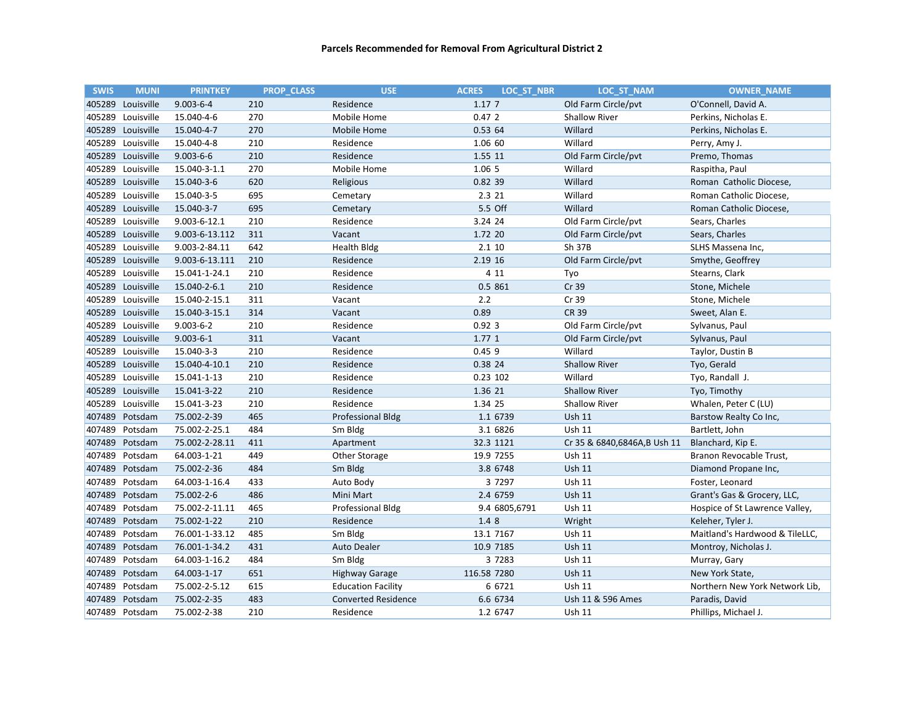| <b>SWIS</b> | <b>MUNI</b>       | <b>PRINTKEY</b> | <b>PROP CLASS</b> | <b>USE</b>                 | <b>LOC ST NBR</b><br><b>ACRES</b> | LOC_ST_NAM                  | <b>OWNER_NAME</b>              |
|-------------|-------------------|-----------------|-------------------|----------------------------|-----------------------------------|-----------------------------|--------------------------------|
|             | 405289 Louisville | $9.003 - 6 - 4$ | 210               | Residence                  | 1.17 7                            | Old Farm Circle/pvt         | O'Connell, David A.            |
| 405289      | Louisville        | 15.040-4-6      | 270               | Mobile Home                | 0.472                             | <b>Shallow River</b>        | Perkins, Nicholas E.           |
|             | 405289 Louisville | 15.040-4-7      | 270               | Mobile Home                | 0.53 64                           | Willard                     | Perkins, Nicholas E.           |
|             | 405289 Louisville | 15.040-4-8      | 210               | Residence                  | 1.06 60                           | Willard                     | Perry, Amy J.                  |
| 405289      | Louisville        | $9.003 - 6 - 6$ | 210               | Residence                  | 1.55 11                           | Old Farm Circle/pvt         | Premo, Thomas                  |
| 405289      | Louisville        | 15.040-3-1.1    | 270               | Mobile Home                | 1.06 5                            | Willard                     | Raspitha, Paul                 |
| 405289      | Louisville        | 15.040-3-6      | 620               | Religious                  | 0.82 39                           | Willard                     | Roman Catholic Diocese,        |
| 405289      | Louisville        | 15.040-3-5      | 695               | Cemetary                   | 2.3 21                            | Willard                     | Roman Catholic Diocese,        |
|             | 405289 Louisville | 15.040-3-7      | 695               | Cemetary                   | 5.5 Off                           | Willard                     | Roman Catholic Diocese,        |
|             | 405289 Louisville | 9.003-6-12.1    | 210               | Residence                  | 3.24 24                           | Old Farm Circle/pvt         | Sears, Charles                 |
|             | 405289 Louisville | 9.003-6-13.112  | 311               | Vacant                     | 1.72 20                           | Old Farm Circle/pvt         | Sears, Charles                 |
|             | 405289 Louisville | 9.003-2-84.11   | 642               | <b>Health Bldg</b>         | 2.1 10                            | Sh 37B                      | SLHS Massena Inc,              |
|             | 405289 Louisville | 9.003-6-13.111  | 210               | Residence                  | 2.19 16                           | Old Farm Circle/pvt         | Smythe, Geoffrey               |
| 405289      | Louisville        | 15.041-1-24.1   | 210               | Residence                  | 4 1 1                             | Tyo                         | Stearns, Clark                 |
|             | 405289 Louisville | 15.040-2-6.1    | 210               | Residence                  | 0.5 861                           | Cr 39                       | Stone, Michele                 |
|             | 405289 Louisville | 15.040-2-15.1   | 311               | Vacant                     | 2.2                               | Cr 39                       | Stone, Michele                 |
|             | 405289 Louisville | 15.040-3-15.1   | 314               | Vacant                     | 0.89                              | CR 39                       | Sweet, Alan E.                 |
| 405289      | Louisville        | $9.003 - 6 - 2$ | 210               | Residence                  | 0.923                             | Old Farm Circle/pvt         | Sylvanus, Paul                 |
| 405289      | Louisville        | $9.003 - 6 - 1$ | 311               | Vacant                     | 1.77 1                            | Old Farm Circle/pvt         | Sylvanus, Paul                 |
|             | 405289 Louisville | 15.040-3-3      | 210               | Residence                  | 0.459                             | Willard                     | Taylor, Dustin B               |
|             | 405289 Louisville | 15.040-4-10.1   | 210               | Residence                  | 0.38 24                           | <b>Shallow River</b>        | Tyo, Gerald                    |
|             | 405289 Louisville | 15.041-1-13     | 210               | Residence                  | 0.23 102                          | Willard                     | Tyo, Randall J.                |
|             | 405289 Louisville | 15.041-3-22     | 210               | Residence                  | 1.36 21                           | <b>Shallow River</b>        | Tyo, Timothy                   |
|             | 405289 Louisville | 15.041-3-23     | 210               | Residence                  | 1.34 25                           | <b>Shallow River</b>        | Whalen, Peter C (LU)           |
| 407489      | Potsdam           | 75.002-2-39     | 465               | <b>Professional Bldg</b>   | 1.1 6739                          | <b>Ush 11</b>               | Barstow Realty Co Inc,         |
| 407489      | Potsdam           | 75.002-2-25.1   | 484               | Sm Bldg                    | 3.1 6826                          | Ush 11                      | Bartlett, John                 |
| 407489      | Potsdam           | 75.002-2-28.11  | 411               | Apartment                  | 32.3 1121                         | Cr 35 & 6840,6846A,B Ush 11 | Blanchard, Kip E.              |
| 407489      | Potsdam           | 64.003-1-21     | 449               | Other Storage              | 19.9 7255                         | Ush 11                      | Branon Revocable Trust,        |
|             | 407489 Potsdam    | 75.002-2-36     | 484               | Sm Bldg                    | 3.8 6748                          | <b>Ush 11</b>               | Diamond Propane Inc,           |
| 407489      | Potsdam           | 64.003-1-16.4   | 433               | Auto Body                  | 3 7 2 9 7                         | <b>Ush 11</b>               | Foster, Leonard                |
|             | 407489 Potsdam    | 75.002-2-6      | 486               | Mini Mart                  | 2.4 6759                          | <b>Ush 11</b>               | Grant's Gas & Grocery, LLC,    |
| 407489      | Potsdam           | 75.002-2-11.11  | 465               | <b>Professional Bldg</b>   | 9.4 6805,6791                     | Ush 11                      | Hospice of St Lawrence Valley, |
| 407489      | Potsdam           | 75.002-1-22     | 210               | Residence                  | 1.4 8                             | Wright                      | Keleher, Tyler J.              |
|             | 407489 Potsdam    | 76.001-1-33.12  | 485               | Sm Bldg                    | 13.1 7167                         | <b>Ush 11</b>               | Maitland's Hardwood & TileLLC, |
|             | 407489 Potsdam    | 76.001-1-34.2   | 431               | Auto Dealer                | 10.9 7185                         | <b>Ush 11</b>               | Montroy, Nicholas J.           |
| 407489      | Potsdam           | 64.003-1-16.2   | 484               | Sm Bldg                    | 3 7 2 8 3                         | <b>Ush 11</b>               | Murray, Gary                   |
| 407489      | Potsdam           | 64.003-1-17     | 651               | <b>Highway Garage</b>      | 116.58 7280                       | <b>Ush 11</b>               | New York State,                |
| 407489      | Potsdam           | 75.002-2-5.12   | 615               | <b>Education Facility</b>  | 6 6721                            | <b>Ush 11</b>               | Northern New York Network Lib, |
| 407489      | Potsdam           | 75.002-2-35     | 483               | <b>Converted Residence</b> | 6.6 6734                          | Ush 11 & 596 Ames           | Paradis, David                 |
|             | 407489 Potsdam    | 75.002-2-38     | 210               | Residence                  | 1.2 6747                          | <b>Ush 11</b>               | Phillips, Michael J.           |